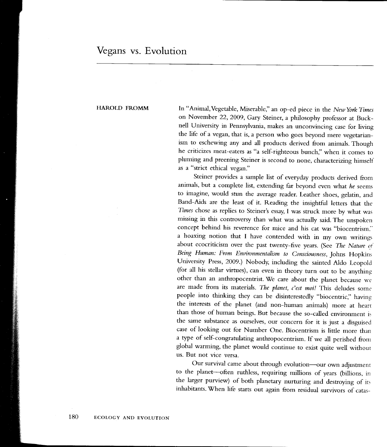## Vegans vs. Evolution

HAROLD FROMM In "Animal, Vegetable, Miserable," an op-ed piece in the New York Times on November 22,2009, Gary Steiner, a philosophy professor at Bucknell University in Pennsylvania, makes an unconvincing case for living the life of a vegan, that is, a person who goes beyond mere vegetarianism to eschewing any and all products derived from animals. Though he criticizes meat-eaters as "a self-righteous bunch," when it comes to pluming and preening Steiner is second to none, characterizing himself as a "strict ethical vegan."

> Steiner provides a sample list of everyday products derived from animals, but a complete list, extending far beyond even what he seems to imagine, would stun the average reader. Leather shoes, gelatin, and Band-Aids are the least of it. Reading the insightful letters that the Times chose as replies to Steiner's essay, I was struck more by what was missing in this controversy than what was actually said. The unspoken concept behind his reverence for mice and his cat was "biocentrism." a hoaxing notion that I have contended with in my own writing: about ecocriticism over the past twenty-five years. (See The Nature oi' Being Human: From Environmentalism to Consciousness, Johns Hopkins University Press, 2009.) Nobody, including the sainted Aldo Leopold (for all his stellar virtues), can even in theory turn out to be anything other than an anthropocentrist. We care about the planet because we are made from its materials. The planet, c'est moi! This deludes some people into thinking they can be disinterestedly "biocentric," having the interests of the planet (and non-human animals) more at hearr than those of human beings. But because the so-called environment i: the same substance as ourselves, our concern for it is just a disguised case of looking out for Number One. Biocentrism is little more than a type of self-congratulating anthropocentrism. If we all perished from global warming, the planet would continue to exist quite well withour us. But not vice versa.

> Our survival came about through evolution-our own adjustment to the planet-often ruthless, requiring millions of years (billions, in the larger purview) of both planetary nurturing and destroying of irs inhabitants. When life starts out again from residual survivors of catas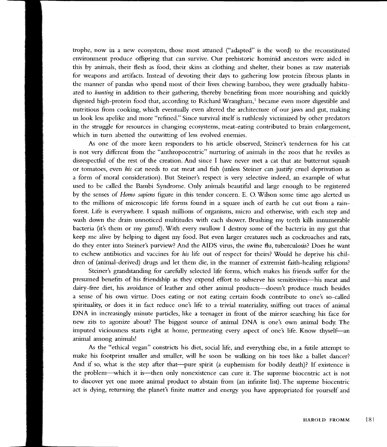trophe, now in a new ecosystem, those most attuned ("adapted" is the word) to the reconstituted environment produce offspring that can survive. Our prehistoric hominid ancestors were aided in this by animals, their flesh as food, their skins as clothing and shelter, their bones as raw materials for weapons and artifacts. Instead of devoting their days to gathering low protein fibrous plants in the manner of pandas who spend most of their lives chewing bamboo, they were gradually habituated to hunting in addition to their gathering, thereby benefiting from more nourishing and quickly digested high-protein food that, according to Richard Wrangham,<sup>1</sup> became even more digestible and nutritious from cooking, which eventually even altered the architecture of our jaws and gut, making us look less apelike and more "refined." Since survival itself is ruthlessly victimized by other predators in the struggle for resources in changing ecosystems, meat-eating contributed to brain enlargement, which in turn abetted the outwitting of less evolved enemies.

As one of the more keen responders to his article observed, Steiner's tenderness for his cat is not very different from the "anthropocentric" nurturing of animals in the zoos that he reviles as disrespectful of the rest of the creation. And since I have never met a cat that ate butternut squash or tomatoes, even his cat needs to eat meat and fish (unless Steiner can justify cruel deprivation as a form of moral consideration). But Steiner's respect is very selective indeed, an example of what used to be called the Bambi Syrdrome. Only animals beautiful and large enough to be registered by the senses of Homo sapiens figure in this tender concern. E. O. Wilson some time ago alerted us to the millions of microscopic life forms found in a square inch of earth he cut out from a rainforest. Life is everywhere. I squash millions of organisms, micro and otherwise, with each step and wash down the drain unnoticed multitudes with each shower. Brushing my teeth kills innumerable bacteria (it's them or my gums!).'With every swallow I destroy some of the bacteria in my gut that keep me alive by helping to digest my food. But even larger creatures such as cockroaches and rats, do they enter into Steiner's purview? And the AIDS virus, the swine flu, tuberculosis? Does he want to eschew antibiotics and vaccines for his life out of respect for theirs? Would he deprive his children of (animal-derived) drugs and let them die, in the manner of extremist faith-healing religions?

Steiner's grandstanding for carefully selected life forms, which makes his friends suffer for the presumed benefits of his friendship as they expend effort to subserve his sensitivities-his meat and dairy-free diet, his avoidance of leather and other animal products-doesn't produce much besides a sense of his own virtue. Does eating or not eating certain foods contribute to one's so-called spirituality, or does it in fact reduce one's life to a trivial materiality, sniffing out traces of animal DNA in increasingly minute particles, like a teenager in front of the mirror searching his face for new zits to agonize about? The biggest source of animal DNA is one's own animal body. The imputed viciousness starts right at home, permeating every aspect of one's life. Know thyself-an animal among animals!

As the "ethical vegan" constricts his diet, social life, and everything else, in a futile attempt to make his footprint smaller and smaller, will he soon be walking on his toes like a ballet dancer? And if so, what is the step after that-pure spirit (a euphemism for bodily death)? If existence is the problem-which it is-then only nonexistence can cure it. The supreme biocentric act is not to discover yet one more animal product to abstain from (an infinite list). The supreme biocentric act is dying, returning the planet's finite matter and energy you have appropriated for yourself and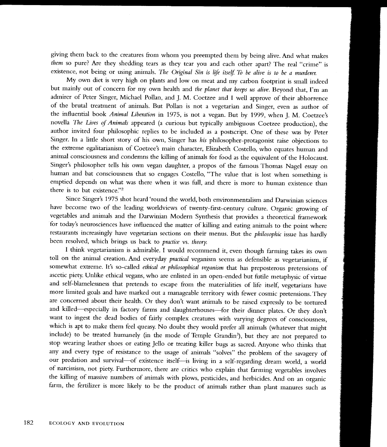giving them back to the creatures from whom you preempted them by being alive. And what makes them so pure? Are they shedding tears as they tear you and each other apart? The real "crime" is existence, not being or using animals. The Original Sin is life itself. To be alive is to be a murderer.

My own diet is very high on plants and low on meat and my carbon footprint is small indeed but mainly out of concern for my own health and the planet that keeps us alive. Beyond that, I'm an admirer of Peter Singer, Michael Pollan, and J. M. Coetzee and I well approve of their abhorrence of the brutal treatment of animals. But Pollan is not a vegetarian and Singer, even as author of the influential book Animal Liberation in 1975, is not a vegan. But by 1999, when J. M. Coetzee's novella The Lives of Animak appeared (a curious but typically ambiguous Coetzee production), the author invited four philosophic replies to be included as a postscript. One of these was by Peter Singer. In a little short story of his own, Singer has his philosopher-protagonist raise objections to the extreme egalitarianism of Coetzee's main character, Elizabeth Costello, who equates human and animal consciousness and condemns the killing of animals for food as the equivalent of the Holocaust. Singer's philosopher tells his own vegan daughter, a propos of the famous Thomas Nagel essay on human and bat consciousness that so engages Costello, "The value that is lost when something is emptied depends on what was there when it was full, and there is more to human existence than there is to bat existence."2

Since Singer's 1975 shot heard'round the world, both environmentalism and Darwinian sciences have become two of the leading worldviews of twenty-first-century culture. Organic growing of vegetables and animals and the Darwinian Modern Synthesis that provides a theoretical framework for today's neurosciences have influenced the matter of killing and eating animals to the point where restaurants increasingly have vegetarian sections on their menus. But the phitosophic issue has hardly been resolved, which brings us back to *practice* vs. theory.

I think vegetarianism is admirable. I would recommend it, even though farming takes its own toll on the animal creation. And everyday *practical* veganism seems as defensible as vegetarianism, if somewhat extreme. It's so-called ethical or philosophical ueganism that has preposterous pretensions of ascetic piety. Unlike ethical vegans, who are enlisted in an open-ended but futile metaphysic of virtue and self-blamelessness that pretends to escape from the materialities of life itself, vegetarians have more lirnited goals and have marked out a manageable territory with fewer cosmic pretensions. They are concerned about their health. Or they don't want animals to be raised expressly to be tortured and killed-especially in factory farms and slaughterhouses-for their dinner plates. Or they don't want to ingest the dead bodies of fairly complex creatures with varying degrees of consciousness, which is apt to make them feel queasy. No doubt they would prefer all animals (whatever that might include) to be treated humanely (in the mode of Temple Grandin<sup>3</sup>), but they are not prepared to stop wearing leather shoes or eating Jello or treating killer bugs as sacred. Anyone who thinks that any and every type of resistance to the usage of animals "solves" the problem of the savagery of our predation and survival-of existence itself-is living in a self-regarding dream world, a world of narcissism, not piety. Furthermore, there are critics who explain that farming vegetables involves the killing of massive numbers of animals with plows, pesticides, and herbicides. And on an organic farm, the Grtilizer is more likely to be the product of animals rather than plant manures such as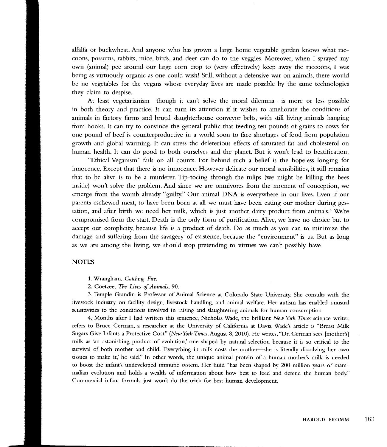alfalfa or buckwheat. And anyone who has grown a large home vegetable garden knows what raccoons, possums, rabbits, mice, birds, and deer can do to the veggies. Moreover, when I sprayed my own (animal) pee around our large corn crop to (very effectively) keep away the raccoons, I was being as virtuously organic as one could wish! Still, without a defensive war on animals, there would be no vegetables for the vegans whose everyday lives are made possible by the same technologies they claim to despise.

At least vegetarianism—though it can't solve the moral dilemma—is more or less possible in both theory and practice. It can turn its attention if it wishes to ameliorate the conditions of animals in factory farms and brutal slaughterhouse conveyor belts, with still living animals hanging from hooks. It can try to convince the general public that feeding ten pounds of grains to cows for one pound of beef is counterproductive in a world soon to face shortages of food from population growth and global warming. It can stress the deleterious efGcts of saturated fat and cholesterol on human health. It can do good to both ourselves and the planet. But it won't lead to beatification.

"Ethical Veganism" fails on all counts. For behind such a belief is the hopeless longing for innocence. Except that there is no innocence. However delicate our moral sensibilities, it still remains that to be alive is to be a murderer. Tip-toeing through the tulips (we might be killing the bees inside) won't solve the problem. And since we are omnivores from the moment of conception, we emerge from the womb already "guilty." Our animal DNA is everywhere in our lives. Even if our parents eschewed meat, to have been born at all we must have been eating our mother during gestation, and after birth we need her milk, which is just another dairy product from animals.<sup>4</sup> We're compromised from the start. Death is the only form of purification. Alive, we have no choice but to accept our compliciry because life is a product of death. Do as much as you can to minimize the damage and suffering from the savagery of existence, because the "environment" is us. But as long as we are among the living, we should stop pretending to virtues we cant possibly have.

## **NOTES**

1. Wrangham, Catching Fire.

2. Coetzee, The Lives of Animals, 90.

3. Temple Grandin is Professor of Animal Science at Colorado State University. She consults with the livestock industry on facility design, livestock handling, and animal welfare. Her autism has enabled unusual sensitivities to the conditions involved in raising and slaughtering animals for human consumption.

4. Months after I had written this sentence, Nicholas Wade, the brilliant New York Times science writer, refers to Bruce German, a researcher at the University of California at Davis. Wade's article is "Breast Milk Sugars Give Infants a Protective Coat" (New York Times, August 8, 2010). He writes, "Dr. German sees [mother's] milk as 'an astonishing product of evolution,' one shaped by natural selection because it is so critical to the survival of both mother and child. 'Everything in rnilk costs the mother--she is literally dissolving her own tissues to make it,' he said." In other words, the unique animal protein of a human mother's milk is needed to boost the infant's undeveloped immune system. Her fluid "has been shaped by 200 million years of mammalian evolution and holds a wealth of information about how best to feed and defend the human body." Comrnercial infant formula just wont do the trick for best human development.